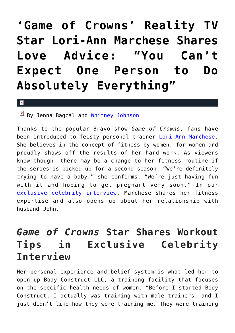## **['Game of Crowns' Reality TV](https://cupidspulse.com/89232/celebrity-interview-lori-ann-marchese-love-advice/) [Star Lori-Ann Marchese Shares](https://cupidspulse.com/89232/celebrity-interview-lori-ann-marchese-love-advice/) [Love Advice: "You Can't](https://cupidspulse.com/89232/celebrity-interview-lori-ann-marchese-love-advice/) [Expect One Person to Do](https://cupidspulse.com/89232/celebrity-interview-lori-ann-marchese-love-advice/) [Absolutely Everything"](https://cupidspulse.com/89232/celebrity-interview-lori-ann-marchese-love-advice/)**

## $\vert \mathbf{x} \vert$

By Jenna Bagcal and [Whitney Johnson](http://cupidspulse.com/104601/whitney-johnson/)

Thanks to the popular Bravo show *Game of Crowns*, fans have been introduced to feisty personal trainer [Lori-Ann Marchese.](http://cupidspulse.com/90915/lori-ann-marchese/) She believes in the concept of fitness by women, for women and proudly shows off the results of her hard work. As viewers know though, there may be a change to her fitness routine if the series is picked up for a second season: "We're definitely trying to have a baby," she confirms. "We're just having fun with it and hoping to get pregnant very soon." In our [exclusive celebrity interview,](http://cupidspulse.com/exclusives/celebrity-interviews/) Marchese shares her fitness expertise and also opens up about her relationship with husband John.

## *Game of Crowns* **Star Shares Workout Tips in Exclusive Celebrity Interview**

Her personal experience and belief system is what led her to open up Body Construct LLC, a training facility that focuses on the specific health needs of women. "Before I started Body Construct, I actually was training with male trainers, and I just didn't like how they were training me. They were training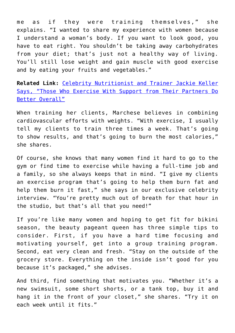me as if they were training themselves," she explains. "I wanted to share my experience with women because I understand a woman's body. If you want to look good, you have to eat right. You shouldn't be taking away carbohydrates from your diet; that's just not a healthy way of living. You'll still lose weight and gain muscle with good exercise and by eating your fruits and vegetables."

**Related Link:** [Celebrity Nutritionist and Trainer Jackie Keller](http://cupidspulse.com/42393/celebrity-nutritionist-trainer-jackie-keller-exercise-relationships/) [Says, "Those Who Exercise With Support from Their Partners Do](http://cupidspulse.com/42393/celebrity-nutritionist-trainer-jackie-keller-exercise-relationships/) [Better Overall"](http://cupidspulse.com/42393/celebrity-nutritionist-trainer-jackie-keller-exercise-relationships/)

When training her clients, Marchese believes in combining cardiovascular efforts with weights. "With exercise, I usually tell my clients to train three times a week. That's going to show results, and that's going to burn the most calories," she shares.

Of course, she knows that many women find it hard to go to the gym or find time to exercise while having a full-time job and a family, so she always keeps that in mind. "I give my clients an exercise program that's going to help them burn fat and help them burn it fast," she says in our exclusive celebrity interview. "You're pretty much out of breath for that hour in the studio, but that's all that you need!"

If you're like many women and hoping to get fit for bikini season, the beauty pageant queen has three simple tips to consider. First, if you have a hard time focusing and motivating yourself, get into a group training program. Second, eat very clean and fresh. "Stay on the outside of the grocery store. Everything on the inside isn't good for you because it's packaged," she advises.

And third, find something that motivates you. "Whether it's a new swimsuit, some short shorts, or a tank top, buy it and hang it in the front of your closet," she shares. "Try it on each week until it fits."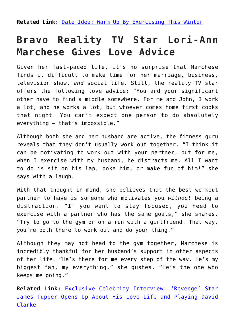**Related Link:** [Date Idea: Warm Up By Exercising This Winter](http://cupidspulse.com/21984/date-idea-exercise-this-winter/)

## **Bravo Reality TV Star Lori-Ann Marchese Gives Love Advice**

Given her fast-paced life, it's no surprise that Marchese finds it difficult to make time for her marriage, business, television show, *and* social life. Still, the reality TV star offers the following love advice: "You and your significant other have to find a middle somewhere. For me and John, I work a lot, and he works a lot, but whoever comes home first cooks that night. You can't expect one person to do absolutely everything — that's impossible."

Although both she and her husband are active, the fitness guru reveals that they don't usually work out together. "I think it can be motivating to work out with your partner, but for me, when I exercise with my husband, he distracts me. All I want to do is sit on his lap, poke him, or make fun of him!" she says with a laugh.

With that thought in mind, she believes that the best workout partner to have is someone who motivates you *without* being a distraction. "If you want to stay focused, you need to exercise with a partner who has the same goals," she shares. "Try to go to the gym or on a run with a girlfriend. That way, you're both there to work out and do your thing."

Although they may not head to the gym together, Marchese is incredibly thankful for her husband's support in other aspects of her life. "He's there for me every step of the way. He's my biggest fan, my everything," she gushes. "He's the one who keeps me going."

**Related Link:** [Exclusive Celebrity Interview: 'Revenge' Star](http://cupidspulse.com/88302/exclusive-celebrity-interview-james-tupper-revenge-relationship-and-love/) [James Tupper Opens Up About His Love Life and Playing David](http://cupidspulse.com/88302/exclusive-celebrity-interview-james-tupper-revenge-relationship-and-love/) [Clarke](http://cupidspulse.com/88302/exclusive-celebrity-interview-james-tupper-revenge-relationship-and-love/)